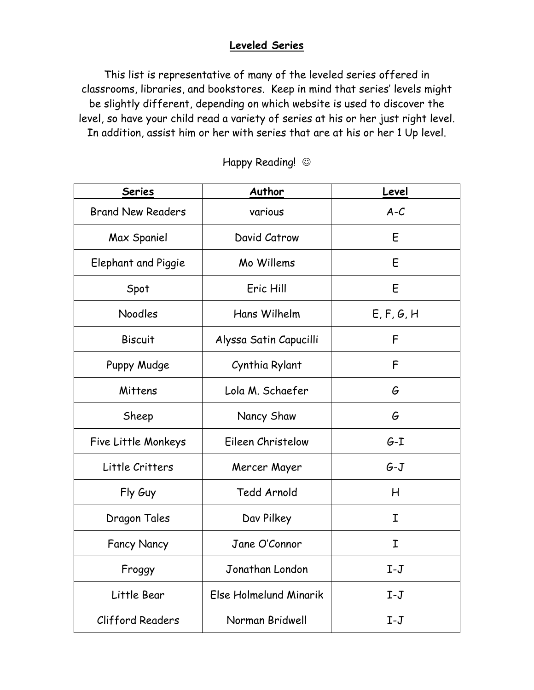## **Leveled Series**

This list is representative of many of the leveled series offered in classrooms, libraries, and bookstores. Keep in mind that series' levels might be slightly different, depending on which website is used to discover the level, so have your child read a variety of series at his or her just right level. In addition, assist him or her with series that are at his or her 1 Up level.

| <b>Series</b>            | Author                 | Level       |
|--------------------------|------------------------|-------------|
| <b>Brand New Readers</b> | various                | $A-C$       |
| Max Spaniel              | David Catrow           | E           |
| Elephant and Piggie      | Mo Willems             | E           |
| Spot                     | Eric Hill              | E           |
| Noodles                  | Hans Wilhelm           | E, F, G, H  |
| <b>Biscuit</b>           | Alyssa Satin Capucilli | F           |
| Puppy Mudge              | Cynthia Rylant         | F           |
| Mittens                  | Lola M. Schaefer       | G           |
| Sheep                    | Nancy Shaw             | G           |
| Five Little Monkeys      | Eileen Christelow      | $G-I$       |
| Little Critters          | Mercer Mayer           | $G-J$       |
| Fly Guy                  | Tedd Arnold            | Н           |
| Dragon Tales             | Dav Pilkey             | Ι           |
| <b>Fancy Nancy</b>       | Jane O'Connor          | $\mathbf I$ |
| Froggy                   | Jonathan London        | $I-J$       |
| Little Bear              | Else Holmelund Minarik | $I-J$       |
| Clifford Readers         | Norman Bridwell        | $I-J$       |

Happy Reading!  $\odot$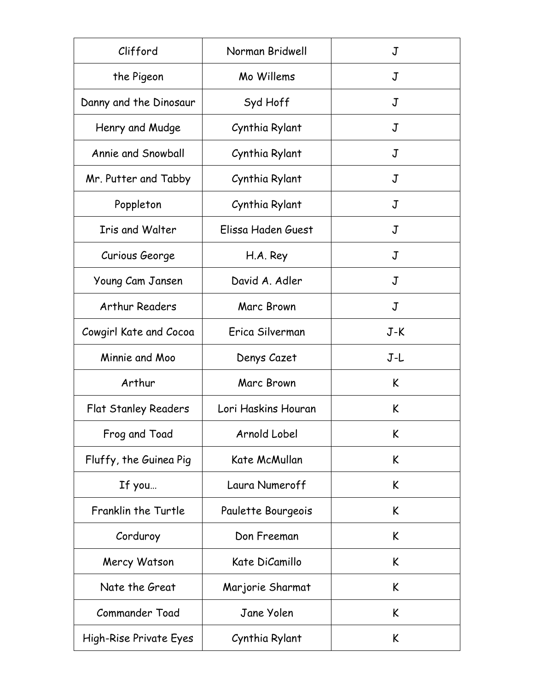| Clifford                    | Norman Bridwell     | J     |
|-----------------------------|---------------------|-------|
| the Pigeon                  | Mo Willems          | J     |
| Danny and the Dinosaur      | Syd Hoff            | J     |
| Henry and Mudge             | Cynthia Rylant      | J     |
| Annie and Snowball          | Cynthia Rylant      | J     |
| Mr. Putter and Tabby        | Cynthia Rylant      | J     |
| Poppleton                   | Cynthia Rylant      | J     |
| <b>Iris and Walter</b>      | Elissa Haden Guest  | J     |
| Curious George              | H.A. Rey            | J     |
| Young Cam Jansen            | David A. Adler      | J     |
| <b>Arthur Readers</b>       | Marc Brown          | J     |
| Cowgirl Kate and Cocoa      | Erica Silverman     | $J-K$ |
| Minnie and Moo              | Denys Cazet         | J-L   |
| Arthur                      | Marc Brown          | K     |
| <b>Flat Stanley Readers</b> | Lori Haskins Houran | K     |
| Frog and Toad               | Arnold Lobel        | K     |
| Fluffy, the Guinea Pig      | Kate McMullan       | K     |
| If you                      | Laura Numeroff      | K     |
| Franklin the Turtle         | Paulette Bourgeois  | K     |
| Corduroy                    | Don Freeman         | K     |
| Mercy Watson                | Kate DiCamillo      | K     |
| Nate the Great              | Marjorie Sharmat    | K     |
| Commander Toad              | Jane Yolen          | K     |
| High-Rise Private Eyes      | Cynthia Rylant      | K     |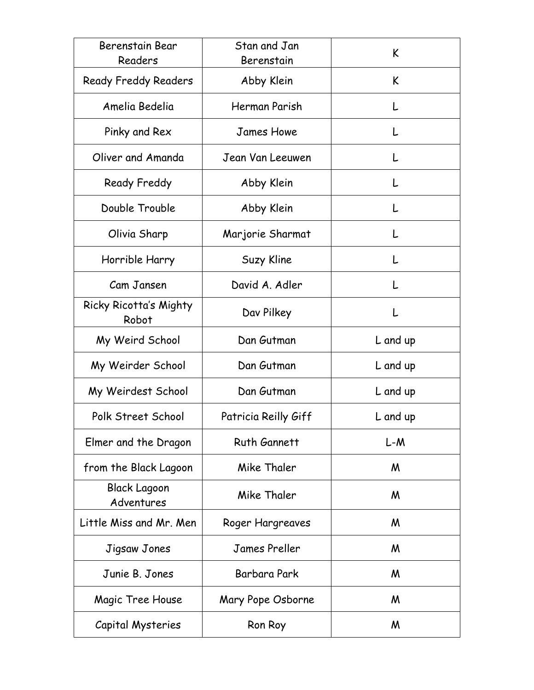| Berenstain Bear<br>Readers        | Stan and Jan<br>Berenstain | K        |
|-----------------------------------|----------------------------|----------|
| <b>Ready Freddy Readers</b>       | Abby Klein                 | K        |
| Amelia Bedelia                    | Herman Parish              |          |
| Pinky and Rex                     | <b>James Howe</b>          |          |
| Oliver and Amanda                 | Jean Van Leeuwen           |          |
| Ready Freddy                      | Abby Klein                 |          |
| Double Trouble                    | Abby Klein                 | L        |
| Olivia Sharp                      | Marjorie Sharmat           | L        |
| Horrible Harry                    | Suzy Kline                 | L        |
| Cam Jansen                        | David A. Adler             |          |
| Ricky Ricotta's Mighty<br>Robot   | Dav Pilkey                 | L        |
| My Weird School                   | Dan Gutman                 | L and up |
| My Weirder School                 | Dan Gutman                 | L and up |
| My Weirdest School                | Dan Gutman                 | L and up |
| Polk Street School                | Patricia Reilly Giff       | L and up |
| Elmer and the Dragon              | Ruth Gannett               | $L-M$    |
| from the Black Lagoon             | Mike Thaler                | M        |
| <b>Black Lagoon</b><br>Adventures | Mike Thaler                | M        |
| Little Miss and Mr. Men           | Roger Hargreaves           | M        |
| Jigsaw Jones                      | <b>James Preller</b>       | M        |
| Junie B. Jones                    | Barbara Park               | M        |
| Magic Tree House                  | Mary Pope Osborne          | M        |
| Capital Mysteries                 | Ron Roy                    | M        |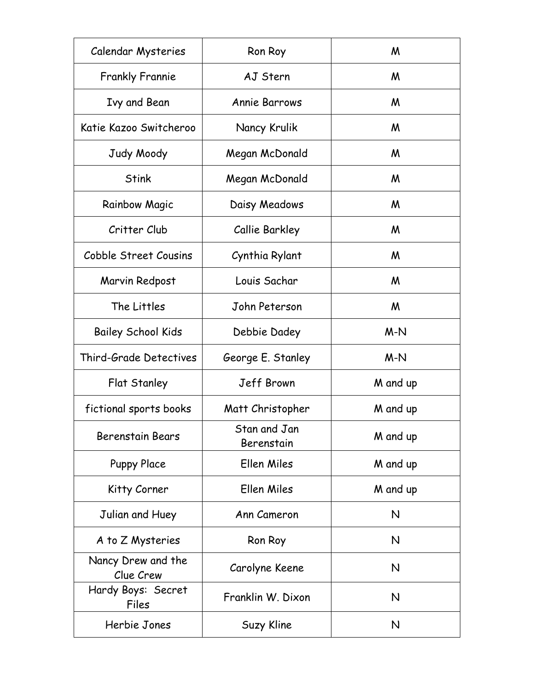| Calendar Mysteries              | Ron Roy                    | M        |
|---------------------------------|----------------------------|----------|
| <b>Frankly Frannie</b>          | AJ Stern                   | M        |
| Ivy and Bean                    | <b>Annie Barrows</b>       | M        |
| Katie Kazoo Switcheroo          | Nancy Krulik               | M        |
| Judy Moody                      | Megan McDonald             | M        |
| <b>Stink</b>                    | Megan McDonald             | M        |
| <b>Rainbow Magic</b>            | Daisy Meadows              | M        |
| Critter Club                    | Callie Barkley             | M        |
| Cobble Street Cousins           | Cynthia Rylant             | M        |
| Marvin Redpost                  | Louis Sachar               | M        |
| The Littles                     | John Peterson              | M        |
| <b>Bailey School Kids</b>       | Debbie Dadey               | $M-N$    |
| Third-Grade Detectives          | George E. Stanley          | $M-N$    |
| Flat Stanley                    | Jeff Brown                 | M and up |
| fictional sports books          | Matt Christopher           | M and up |
| <b>Berenstain Bears</b>         | Stan and Jan<br>Berenstain | M and up |
| <b>Puppy Place</b>              | Ellen Miles                | M and up |
| Kitty Corner                    | Ellen Miles                | M and up |
| Julian and Huey                 | Ann Cameron                | N        |
| A to Z Mysteries                | Ron Roy                    | N        |
| Nancy Drew and the<br>Clue Crew | Carolyne Keene             | N        |
| Hardy Boys: Secret<br>Files     | Franklin W. Dixon          | N        |
| Herbie Jones                    | Suzy Kline                 | N        |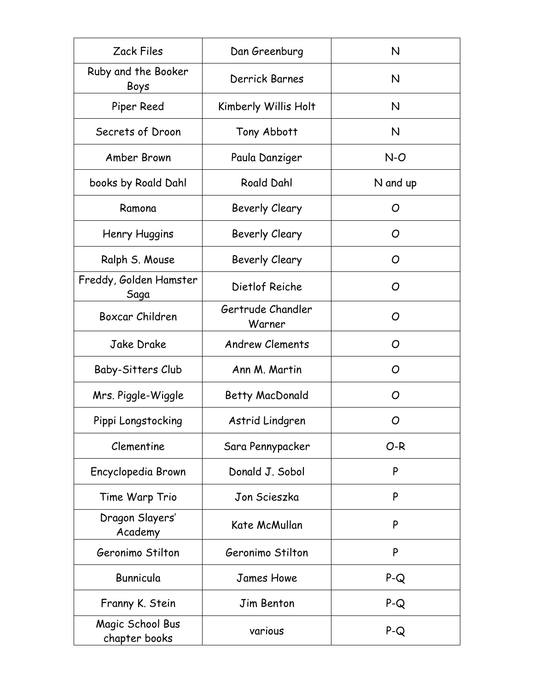| Zack Files                        | Dan Greenburg               | N        |
|-----------------------------------|-----------------------------|----------|
| Ruby and the Booker<br>Boys       | Derrick Barnes              | N        |
| Piper Reed                        | Kimberly Willis Holt        | N        |
| Secrets of Droon                  | Tony Abbott                 | N        |
| Amber Brown                       | Paula Danziger              | $N-O$    |
| books by Roald Dahl               | <b>Roald Dahl</b>           | N and up |
| Ramona                            | Beverly Cleary              | O        |
| Henry Huggins                     | Beverly Cleary              | O        |
| Ralph S. Mouse                    | Beverly Cleary              | O        |
| Freddy, Golden Hamster<br>Saga    | Dietlof Reiche              | O        |
| Boxcar Children                   | Gertrude Chandler<br>Warner | O        |
| Jake Drake                        | <b>Andrew Clements</b>      | O        |
| Baby-Sitters Club                 | Ann M. Martin               | O        |
| Mrs. Piggle-Wiggle                | Betty MacDonald             | O        |
| Pippi Longstocking                | Astrid Lindgren             | O        |
| Clementine                        | Sara Pennypacker            | $O-R$    |
| Encyclopedia Brown                | Donald J. Sobol             | P        |
| Time Warp Trio                    | Jon Scieszka                | P        |
| Dragon Slayers'<br>Academy        | Kate McMullan               | P        |
| Geronimo Stilton                  | Geronimo Stilton            | P        |
| Bunnicula                         | James Howe                  | $P-Q$    |
| Franny K. Stein                   | Jim Benton                  | $P-Q$    |
| Magic School Bus<br>chapter books | various                     | $P-Q$    |